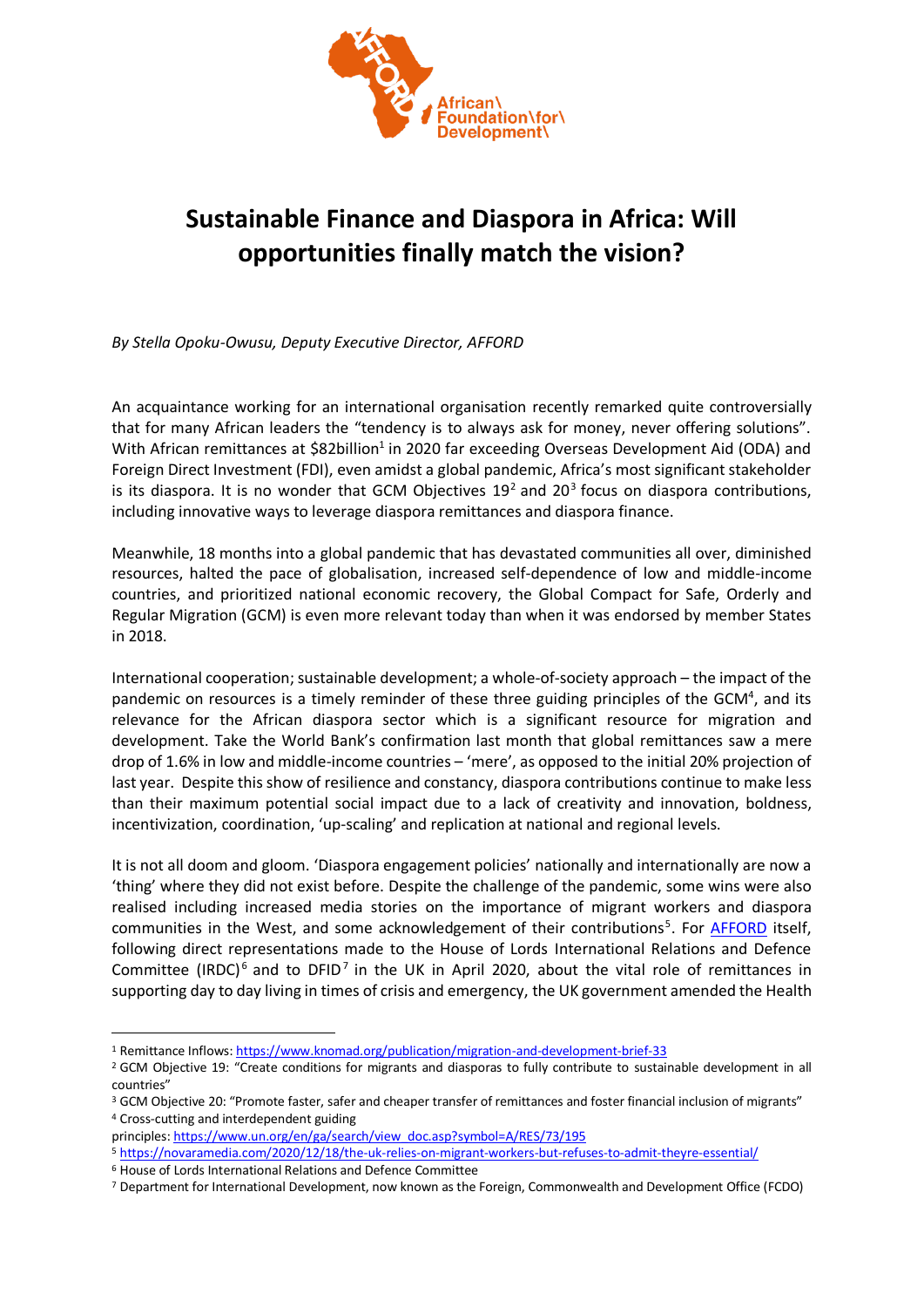

## **Sustainable Finance and Diaspora in Africa: Will opportunities finally match the vision?**

*By Stella Opoku-Owusu, Deputy Executive Director, AFFORD*

An acquaintance working for an international organisation recently remarked quite controversially that for many African leaders the "tendency is to always ask for money, never offering solutions". With African remittances at \$82billion<sup>1</sup> in 2020 far exceeding Overseas Development Aid (ODA) and Foreign Direct Investment (FDI), even amidst a global pandemic, Africa's most significant stakeholder is its diaspora. It is no wonder that GCM Objectives  $19<sup>2</sup>$  and 20<sup>3</sup> focus on diaspora contributions, including innovative ways to leverage diaspora remittances and diaspora finance.

Meanwhile, 18 months into a global pandemic that has devastated communities all over, diminished resources, halted the pace of globalisation, increased self-dependence of low and middle-income countries, and prioritized national economic recovery, the Global Compact for Safe, Orderly and Regular Migration (GCM) is even more relevant today than when it was endorsed by member States in 2018.

International cooperation; sustainable development; a whole-of-society approach – the impact of the pandemic on resources is a timely reminder of these three guiding principles of the GCM<sup>4</sup>, and its relevance for the African diaspora sector which is a significant resource for migration and development. Take the World Bank's confirmation last month that global remittances saw a mere drop of 1.6% in low and middle-income countries – 'mere', as opposed to the initial 20% projection of last year. Despite this show of resilience and constancy, diaspora contributions continue to make less than their maximum potential social impact due to a lack of creativity and innovation, boldness, incentivization, coordination, 'up-scaling' and replication at national and regional levels.

It is not all doom and gloom. 'Diaspora engagement policies' nationally and internationally are now a 'thing' where they did not exist before. Despite the challenge of the pandemic, some wins were also realised including increased media stories on the importance of migrant workers and diaspora communities in the West, and some acknowledgement of their contributions<sup>5</sup>. For *AFFORD* itself, following direct representations made to the House of Lords International Relations and Defence Committee (IRDC)<sup>6</sup> and to DFID<sup>7</sup> in the UK in April 2020, about the vital role of remittances in supporting day to day living in times of crisis and emergency, the UK government amended the Health

<sup>1</sup> Remittance Inflows[: https://www.knomad.org/publication/migration-and-development-brief-33](https://www.knomad.org/publication/migration-and-development-brief-33)

<sup>&</sup>lt;sup>2</sup> GCM Objective 19: "Create conditions for migrants and diasporas to fully contribute to sustainable development in all countries"

<sup>&</sup>lt;sup>3</sup> GCM Objective 20: "Promote faster, safer and cheaper transfer of remittances and foster financial inclusion of migrants" <sup>4</sup> Cross-cutting and interdependent guiding

principles: [https://www.un.org/en/ga/search/view\\_doc.asp?symbol=A/RES/73/195](https://www.un.org/en/ga/search/view_doc.asp?symbol=A/RES/73/195)

<sup>5</sup> <https://novaramedia.com/2020/12/18/the-uk-relies-on-migrant-workers-but-refuses-to-admit-theyre-essential/>

<sup>6</sup> House of Lords International Relations and Defence Committee

<sup>7</sup> Department for International Development, now known as the Foreign, Commonwealth and Development Office (FCDO)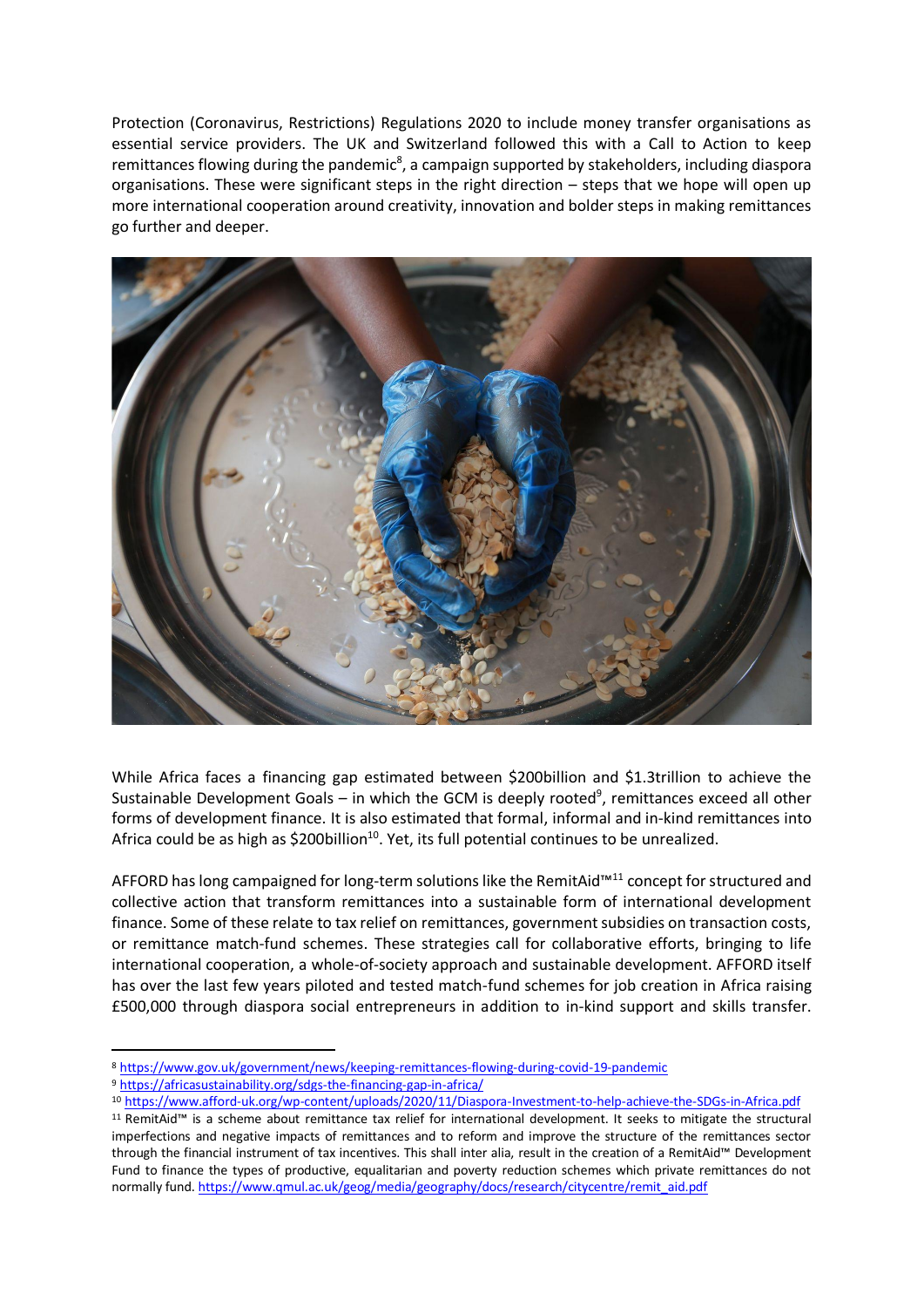Protection (Coronavirus, Restrictions) Regulations 2020 to include money transfer organisations as essential service providers. The UK and Switzerland followed this with a Call to Action to keep remittances flowing during the pandemic<sup>8</sup>, a campaign supported by stakeholders, including diaspora organisations. These were significant steps in the right direction – steps that we hope will open up more international cooperation around creativity, innovation and bolder steps in making remittances go further and deeper.



While Africa faces a financing gap estimated between \$200billion and \$1.3trillion to achieve the Sustainable Development Goals – in which the GCM is deeply rooted<sup>9</sup>, remittances exceed all other forms of development finance. It is also estimated that formal, informal and in-kind remittances into Africa could be as high as \$200billion $^{10}$ . Yet, its full potential continues to be unrealized.

AFFORD has long campaigned for long-term solutions like the RemitAid™<sup>11</sup> concept for structured and collective action that transform remittances into a sustainable form of international development finance. Some of these relate to tax relief on remittances, government subsidies on transaction costs, or remittance match-fund schemes. These strategies call for collaborative efforts, bringing to life international cooperation, a whole-of-society approach and sustainable development. AFFORD itself has over the last few years piloted and tested match-fund schemes for job creation in Africa raising £500,000 through diaspora social entrepreneurs in addition to in-kind support and skills transfer.

<sup>9</sup> <https://africasustainability.org/sdgs-the-financing-gap-in-africa/>

<sup>8</sup> <https://www.gov.uk/government/news/keeping-remittances-flowing-during-covid-19-pandemic>

<sup>10</sup> <https://www.afford-uk.org/wp-content/uploads/2020/11/Diaspora-Investment-to-help-achieve-the-SDGs-in-Africa.pdf>

<sup>11</sup> RemitAid™ is a scheme about remittance tax relief for international development. It seeks to mitigate the structural imperfections and negative impacts of remittances and to reform and improve the structure of the remittances sector through the financial instrument of tax incentives. This shall inter alia, result in the creation of a RemitAid™ Development Fund to finance the types of productive, equalitarian and poverty reduction schemes which private remittances do not normally fund[. https://www.qmul.ac.uk/geog/media/geography/docs/research/citycentre/remit\\_aid.pdf](https://www.qmul.ac.uk/geog/media/geography/docs/research/citycentre/remit_aid.pdf)